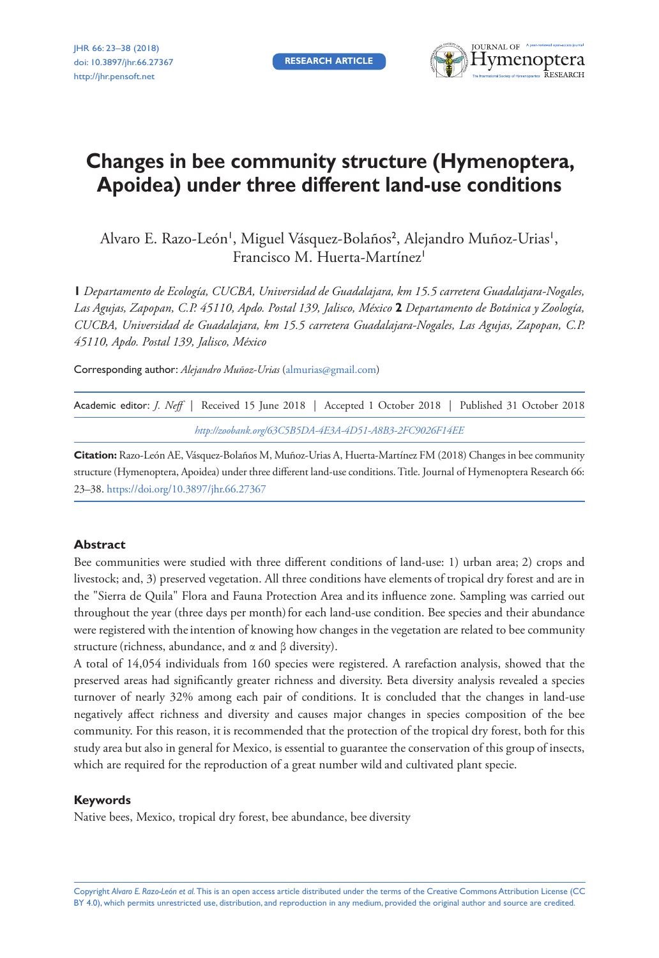**RESEARCH ARTICLE**



# **Changes in bee community structure (Hymenoptera, Apoidea) under three different land-use conditions**

Alvaro E. Razo-León', Miguel Vásquez-Bolaños<sup>2</sup>, Alejandro Muñoz-Urias', Francisco M. Huerta-Martínez<sup>1</sup>

**1** *Departamento de Ecología, CUCBA, Universidad de Guadalajara, km 15.5 carretera Guadalajara-Nogales, Las Agujas, Zapopan, C.P. 45110, Apdo. Postal 139, Jalisco, México* **2** *Departamento de Botánica y Zoología, CUCBA, Universidad de Guadalajara, km 15.5 carretera Guadalajara-Nogales, Las Agujas, Zapopan, C.P. 45110, Apdo. Postal 139, Jalisco, México*

Corresponding author: *Alejandro Muñoz-Urias* [\(almurias@gmail.com](mailto:almurias@gmail.com))

|  | Academic editor: <i>J. Neff</i>   Received 15 June 2018   Accepted 1 October 2018   Published 31 October 2018 |  |
|--|---------------------------------------------------------------------------------------------------------------|--|
|  | http://zoobank.org/63C5B5DA-4E3A-4D51-A8B3-2FC9026F14EE                                                       |  |

**Citation:** Razo-León AE, Vásquez-Bolaños M, Muñoz-Urias A, Huerta-Martínez FM (2018) Changes in bee community structure (Hymenoptera, Apoidea) under three different land-use conditions. Title. Journal of Hymenoptera Research 66: 23–38. <https://doi.org/10.3897/jhr.66.27367>

### **Abstract**

Bee communities were studied with three different conditions of land-use: 1) urban area; 2) crops and livestock; and, 3) preserved vegetation. All three conditions have elements of tropical dry forest and are in the "Sierra de Quila" Flora and Fauna Protection Area and its influence zone. Sampling was carried out throughout the year (three days per month) for each land-use condition. Bee species and their abundance were registered with the intention of knowing how changes in the vegetation are related to bee community structure (richness, abundance, and  $\alpha$  and  $\beta$  diversity).

A total of 14,054 individuals from 160 species were registered. A rarefaction analysis, showed that the preserved areas had significantly greater richness and diversity. Beta diversity analysis revealed a species turnover of nearly 32% among each pair of conditions. It is concluded that the changes in land-use negatively affect richness and diversity and causes major changes in species composition of the bee community. For this reason, it is recommended that the protection of the tropical dry forest, both for this study area but also in general for Mexico, is essential to guarantee the conservation of this group of insects, which are required for the reproduction of a great number wild and cultivated plant specie.

### **Keywords**

Native bees, Mexico, tropical dry forest, bee abundance, bee diversity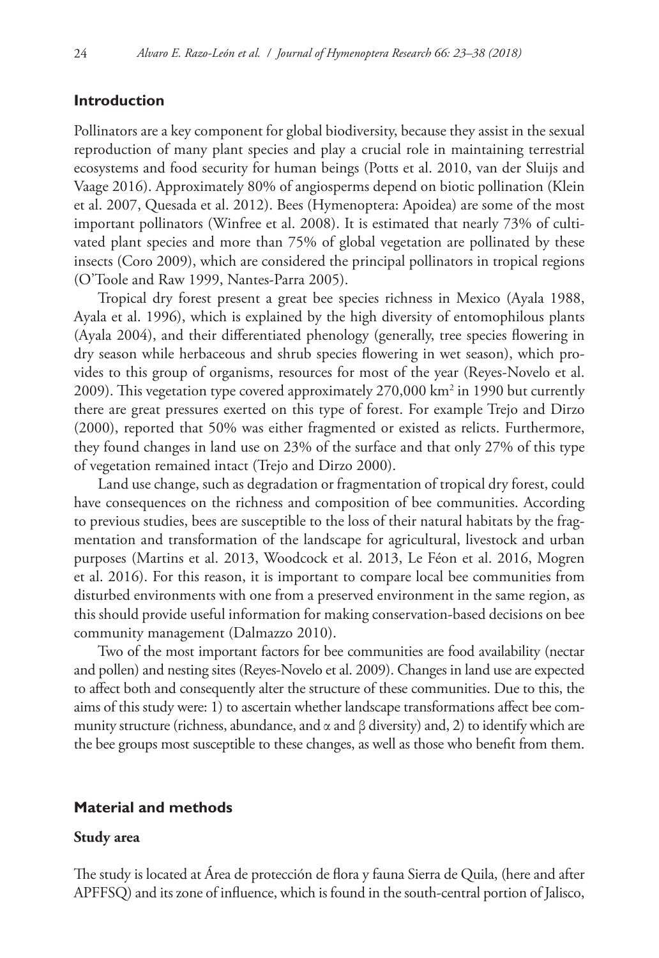### **Introduction**

Pollinators are a key component for global biodiversity, because they assist in the sexual reproduction of many plant species and play a crucial role in maintaining terrestrial ecosystems and food security for human beings (Potts et al. 2010, van der Sluijs and Vaage 2016). Approximately 80% of angiosperms depend on biotic pollination (Klein et al. 2007, Quesada et al. 2012). Bees (Hymenoptera: Apoidea) are some of the most important pollinators (Winfree et al. 2008). It is estimated that nearly 73% of cultivated plant species and more than 75% of global vegetation are pollinated by these insects (Coro 2009), which are considered the principal pollinators in tropical regions (O'Toole and Raw 1999, Nantes-Parra 2005).

Tropical dry forest present a great bee species richness in Mexico (Ayala 1988, Ayala et al. 1996), which is explained by the high diversity of entomophilous plants (Ayala 2004), and their differentiated phenology (generally, tree species flowering in dry season while herbaceous and shrub species flowering in wet season), which provides to this group of organisms, resources for most of the year (Reyes-Novelo et al. 2009). This vegetation type covered approximately 270,000 km<sup>2</sup> in 1990 but currently there are great pressures exerted on this type of forest. For example Trejo and Dirzo (2000), reported that 50% was either fragmented or existed as relicts. Furthermore, they found changes in land use on 23% of the surface and that only 27% of this type of vegetation remained intact (Trejo and Dirzo 2000).

Land use change, such as degradation or fragmentation of tropical dry forest, could have consequences on the richness and composition of bee communities. According to previous studies, bees are susceptible to the loss of their natural habitats by the fragmentation and transformation of the landscape for agricultural, livestock and urban purposes (Martins et al. 2013, Woodcock et al. 2013, Le Féon et al. 2016, Mogren et al. 2016). For this reason, it is important to compare local bee communities from disturbed environments with one from a preserved environment in the same region, as this should provide useful information for making conservation-based decisions on bee community management (Dalmazzo 2010).

Two of the most important factors for bee communities are food availability (nectar and pollen) and nesting sites (Reyes-Novelo et al. 2009). Changes in land use are expected to affect both and consequently alter the structure of these communities. Due to this, the aims of this study were: 1) to ascertain whether landscape transformations affect bee community structure (richness, abundance, and  $\alpha$  and  $\beta$  diversity) and, 2) to identify which are the bee groups most susceptible to these changes, as well as those who benefit from them.

### **Material and methods**

#### **Study area**

The study is located at Área de protección de flora y fauna Sierra de Quila, (here and after APFFSQ) and its zone of influence, which is found in the south-central portion of Jalisco,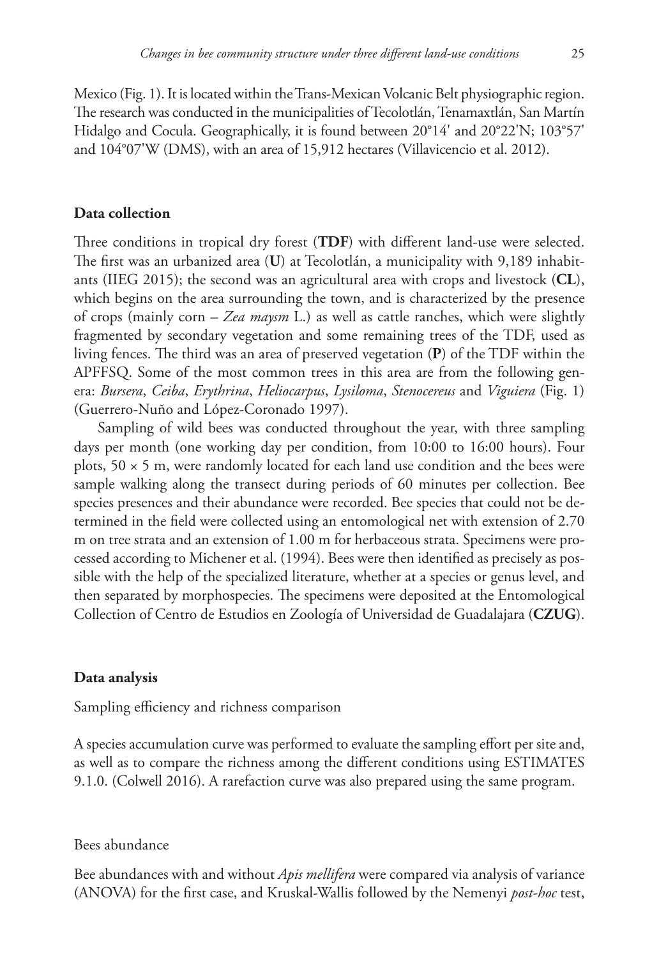Mexico (Fig. 1). It is located within the Trans-Mexican Volcanic Belt physiographic region. The research was conducted in the municipalities of Tecolotlán, Tenamaxtlán, San Martín Hidalgo and Cocula. Geographically, it is found between 20°14' and 20°22'N; 103°57' and 104°07'W (DMS), with an area of 15,912 hectares (Villavicencio et al. 2012).

#### **Data collection**

Three conditions in tropical dry forest (**TDF**) with different land-use were selected. The first was an urbanized area (**U**) at Tecolotlán, a municipality with 9,189 inhabitants (IIEG 2015); the second was an agricultural area with crops and livestock (**CL**), which begins on the area surrounding the town, and is characterized by the presence of crops (mainly corn – *Zea maysm* L.) as well as cattle ranches, which were slightly fragmented by secondary vegetation and some remaining trees of the TDF, used as living fences. The third was an area of preserved vegetation (**P**) of the TDF within the APFFSQ. Some of the most common trees in this area are from the following genera: *Bursera*, *Ceiba*, *Erythrina*, *Heliocarpus*, *Lysiloma*, *Stenocereus* and *Viguiera* (Fig. 1) (Guerrero-Nuño and López-Coronado 1997).

Sampling of wild bees was conducted throughout the year, with three sampling days per month (one working day per condition, from 10:00 to 16:00 hours). Four plots,  $50 \times 5$  m, were randomly located for each land use condition and the bees were sample walking along the transect during periods of 60 minutes per collection. Bee species presences and their abundance were recorded. Bee species that could not be determined in the field were collected using an entomological net with extension of 2.70 m on tree strata and an extension of 1.00 m for herbaceous strata. Specimens were processed according to Michener et al. (1994). Bees were then identified as precisely as possible with the help of the specialized literature, whether at a species or genus level, and then separated by morphospecies. The specimens were deposited at the Entomological Collection of Centro de Estudios en Zoología of Universidad de Guadalajara (**CZUG**).

### **Data analysis**

Sampling efficiency and richness comparison

A species accumulation curve was performed to evaluate the sampling effort per site and, as well as to compare the richness among the different conditions using ESTIMATES 9.1.0. (Colwell 2016). A rarefaction curve was also prepared using the same program.

### Bees abundance

Bee abundances with and without *Apis mellifera* were compared via analysis of variance (ANOVA) for the first case, and Kruskal-Wallis followed by the Nemenyi *post-hoc* test,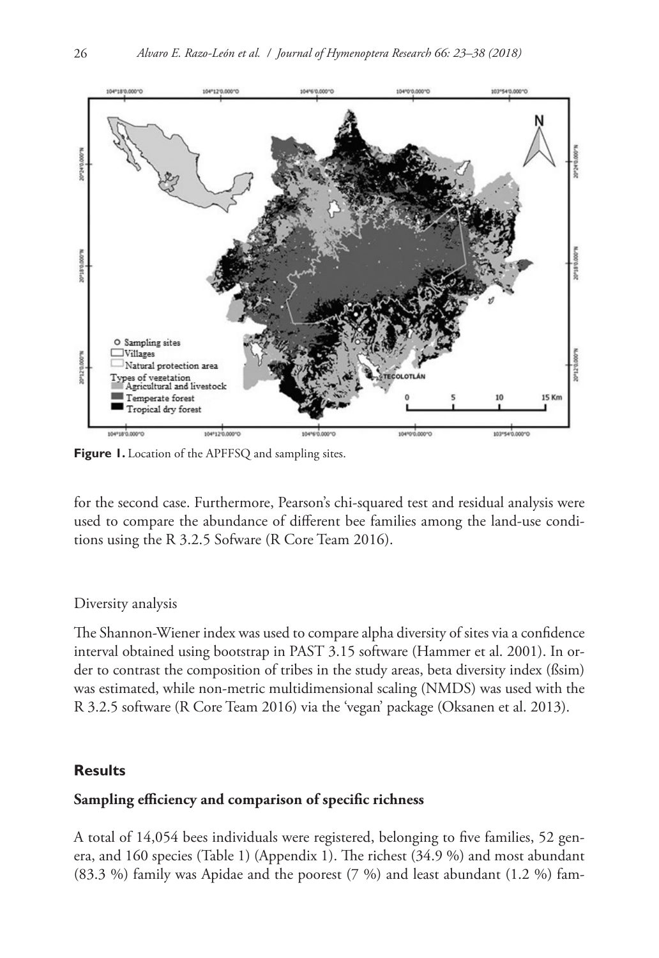

Figure 1. Location of the APFFSQ and sampling sites.

for the second case. Furthermore, Pearson's chi-squared test and residual analysis were used to compare the abundance of different bee families among the land-use conditions using the R 3.2.5 Sofware (R Core Team 2016).

### Diversity analysis

The Shannon-Wiener index was used to compare alpha diversity of sites via a confidence interval obtained using bootstrap in PAST 3.15 software (Hammer et al. 2001). In order to contrast the composition of tribes in the study areas, beta diversity index (ßsim) was estimated, while non-metric multidimensional scaling (NMDS) was used with the R 3.2.5 software (R Core Team 2016) via the 'vegan' package (Oksanen et al. 2013).

### **Results**

### **Sampling efficiency and comparison of specific richness**

A total of 14,054 bees individuals were registered, belonging to five families, 52 genera, and 160 species (Table 1) (Appendix 1). The richest (34.9 %) and most abundant (83.3 %) family was Apidae and the poorest (7 %) and least abundant (1.2 %) fam-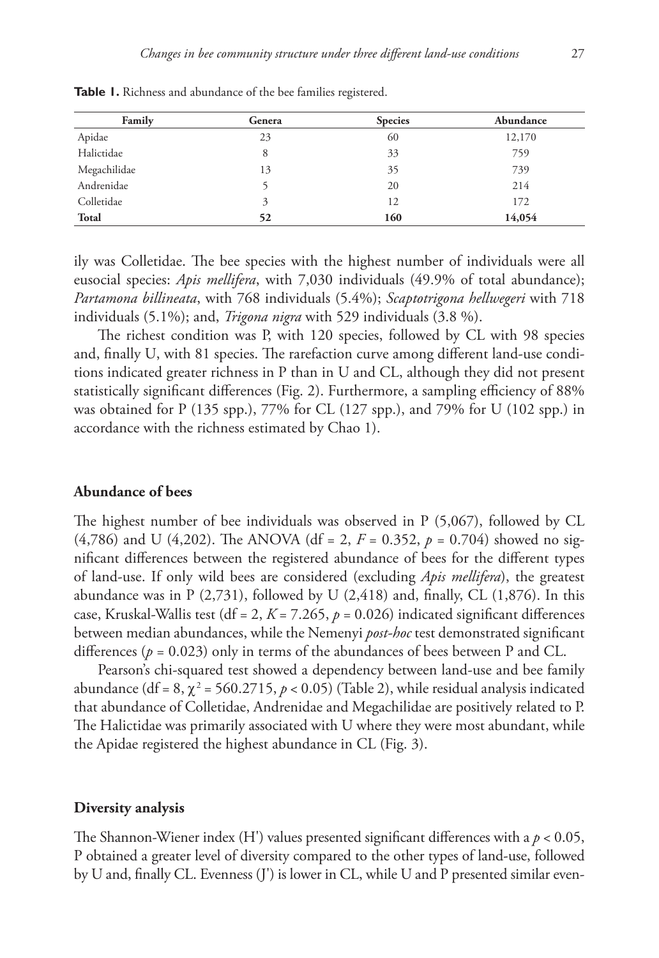| Family       | Genera | <b>Species</b> | Abundance |
|--------------|--------|----------------|-----------|
| Apidae       | 23     | 60             | 12,170    |
| Halictidae   | 8      | 33             | 759       |
| Megachilidae | 13     | 35             | 739       |
| Andrenidae   |        | 20             | 214       |
| Colletidae   | 3      | 12             | 172       |
| <b>Total</b> | 52     | 160            | 14,054    |

**Table 1.** Richness and abundance of the bee families registered.

ily was Colletidae. The bee species with the highest number of individuals were all eusocial species: *Apis mellifera*, with 7,030 individuals (49.9% of total abundance); *Partamona billineata*, with 768 individuals (5.4%); *Scaptotrigona hellwegeri* with 718 individuals (5.1%); and, *Trigona nigra* with 529 individuals (3.8 %).

The richest condition was P, with 120 species, followed by CL with 98 species and, finally U, with 81 species. The rarefaction curve among different land-use conditions indicated greater richness in P than in U and CL, although they did not present statistically significant differences (Fig. 2). Furthermore, a sampling efficiency of 88% was obtained for P (135 spp.), 77% for CL (127 spp.), and 79% for U (102 spp.) in accordance with the richness estimated by Chao 1).

### **Abundance of bees**

The highest number of bee individuals was observed in P (5,067), followed by CL (4,786) and U (4,202). The ANOVA (df = 2, *F* = 0.352, *p* = 0.704) showed no significant differences between the registered abundance of bees for the different types of land-use. If only wild bees are considered (excluding *Apis mellifera*), the greatest abundance was in  $P(2,731)$ , followed by U  $(2,418)$  and, finally, CL  $(1,876)$ . In this case, Kruskal-Wallis test (df = 2, *K* = 7.265, *p* = 0.026) indicated significant differences between median abundances, while the Nemenyi *post-hoc* test demonstrated significant differences  $(p = 0.023)$  only in terms of the abundances of bees between P and CL.

Pearson's chi-squared test showed a dependency between land-use and bee family abundance (df =  $8$ ,  $\chi^2$  = 560.2715,  $p < 0.05$ ) (Table 2), while residual analysis indicated that abundance of Colletidae, Andrenidae and Megachilidae are positively related to P. The Halictidae was primarily associated with U where they were most abundant, while the Apidae registered the highest abundance in CL (Fig. 3).

#### **Diversity analysis**

The Shannon-Wiener index  $(H')$  values presented significant differences with a  $p < 0.05$ , P obtained a greater level of diversity compared to the other types of land-use, followed by U and, finally CL. Evenness (J') is lower in CL, while U and P presented similar even-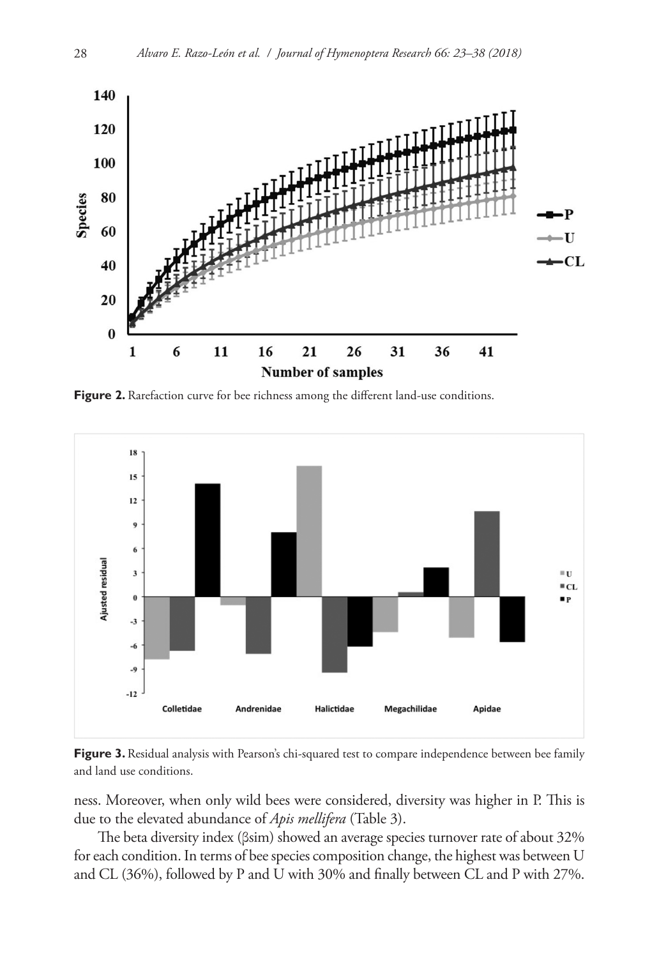

Figure 2. Rarefaction curve for bee richness among the different land-use conditions.



Figure 3. Residual analysis with Pearson's chi-squared test to compare independence between bee family and land use conditions.

ness. Moreover, when only wild bees were considered, diversity was higher in P. This is due to the elevated abundance of *Apis mellifera* (Table 3).

The beta diversity index (βsim) showed an average species turnover rate of about 32% for each condition. In terms of bee species composition change, the highest was between U and CL (36%), followed by P and U with 30% and finally between CL and P with 27%.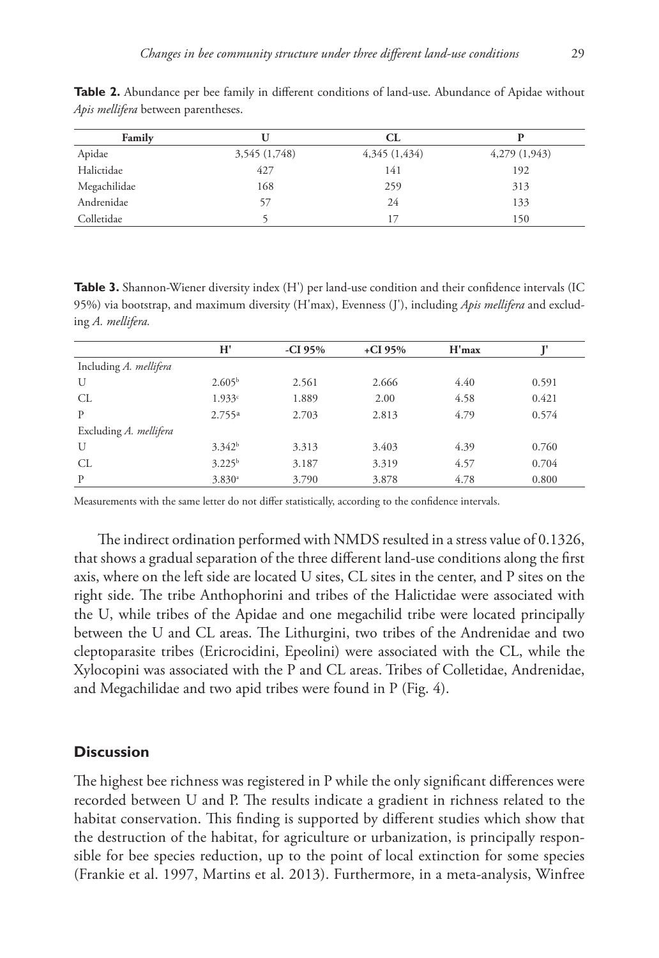| Family       |               | CL.          |              |
|--------------|---------------|--------------|--------------|
| Apidae       | 3,545 (1,748) | 4,345(1,434) | 4,279(1,943) |
| Halictidae   | 427           | 141          | 192          |
| Megachilidae | 168           | 259          | 313          |
| Andrenidae   | 57            | 24           | 133          |
| Colletidae   |               | 17           | 150          |

**Table 2.** Abundance per bee family in different conditions of land-use. Abundance of Apidae without *Apis mellifera* between parentheses.

**Table 3.** Shannon-Wiener diversity index (H') per land-use condition and their confidence intervals (IC 95%) via bootstrap, and maximum diversity (H'max), Evenness (J'), including *Apis mellifera* and excluding *A. mellifera.*

|                        | H'                 | -CI $95%$ | $+CI$ 95% | H'max |       |
|------------------------|--------------------|-----------|-----------|-------|-------|
| Including A. mellifera |                    |           |           |       |       |
| U                      | 2.605 <sup>b</sup> | 2.561     | 2.666     | 4.40  | 0.591 |
| <b>CL</b>              | 1.933c             | 1.889     | 2.00      | 4.58  | 0.421 |
| P                      | 2.755a             | 2.703     | 2.813     | 4.79  | 0.574 |
| Excluding A. mellifera |                    |           |           |       |       |
| U                      | 3.342 <sup>b</sup> | 3.313     | 3.403     | 4.39  | 0.760 |
| <b>CL</b>              | $3.225^{b}$        | 3.187     | 3.319     | 4.57  | 0.704 |
| $\mathbf{P}$           | 3.830 <sup>a</sup> | 3.790     | 3.878     | 4.78  | 0.800 |

Measurements with the same letter do not differ statistically, according to the confidence intervals.

The indirect ordination performed with NMDS resulted in a stress value of 0.1326, that shows a gradual separation of the three different land-use conditions along the first axis, where on the left side are located U sites, CL sites in the center, and P sites on the right side. The tribe Anthophorini and tribes of the Halictidae were associated with the U, while tribes of the Apidae and one megachilid tribe were located principally between the U and CL areas. The Lithurgini, two tribes of the Andrenidae and two cleptoparasite tribes (Ericrocidini, Epeolini) were associated with the CL, while the Xylocopini was associated with the P and CL areas. Tribes of Colletidae, Andrenidae, and Megachilidae and two apid tribes were found in P (Fig. 4).

### **Discussion**

The highest bee richness was registered in P while the only significant differences were recorded between U and P. The results indicate a gradient in richness related to the habitat conservation. This finding is supported by different studies which show that the destruction of the habitat, for agriculture or urbanization, is principally responsible for bee species reduction, up to the point of local extinction for some species (Frankie et al. 1997, Martins et al. 2013). Furthermore, in a meta-analysis, Winfree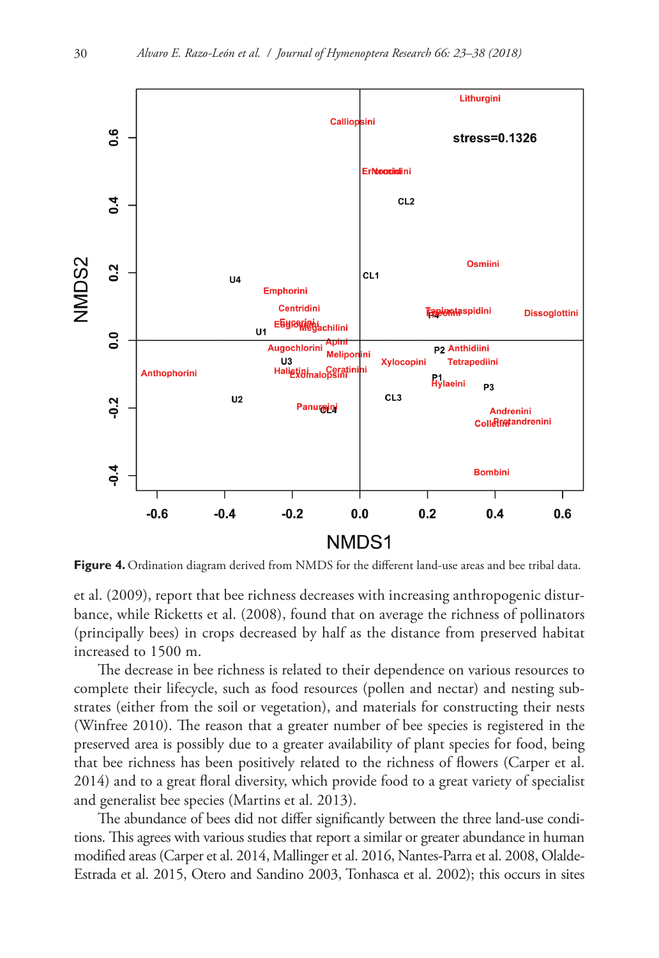

**Figure 4.** Ordination diagram derived from NMDS for the different land-use areas and bee tribal data.

et al. (2009), report that bee richness decreases with increasing anthropogenic disturbance, while Ricketts et al. (2008), found that on average the richness of pollinators (principally bees) in crops decreased by half as the distance from preserved habitat increased to 1500 m.

The decrease in bee richness is related to their dependence on various resources to complete their lifecycle, such as food resources (pollen and nectar) and nesting substrates (either from the soil or vegetation), and materials for constructing their nests (Winfree 2010). The reason that a greater number of bee species is registered in the preserved area is possibly due to a greater availability of plant species for food, being that bee richness has been positively related to the richness of flowers (Carper et al. 2014) and to a great floral diversity, which provide food to a great variety of specialist and generalist bee species (Martins et al. 2013).

The abundance of bees did not differ significantly between the three land-use conditions. This agrees with various studies that report a similar or greater abundance in human modified areas (Carper et al. 2014, Mallinger et al. 2016, Nantes-Parra et al. 2008, Olalde-Estrada et al. 2015, Otero and Sandino 2003, Tonhasca et al. 2002); this occurs in sites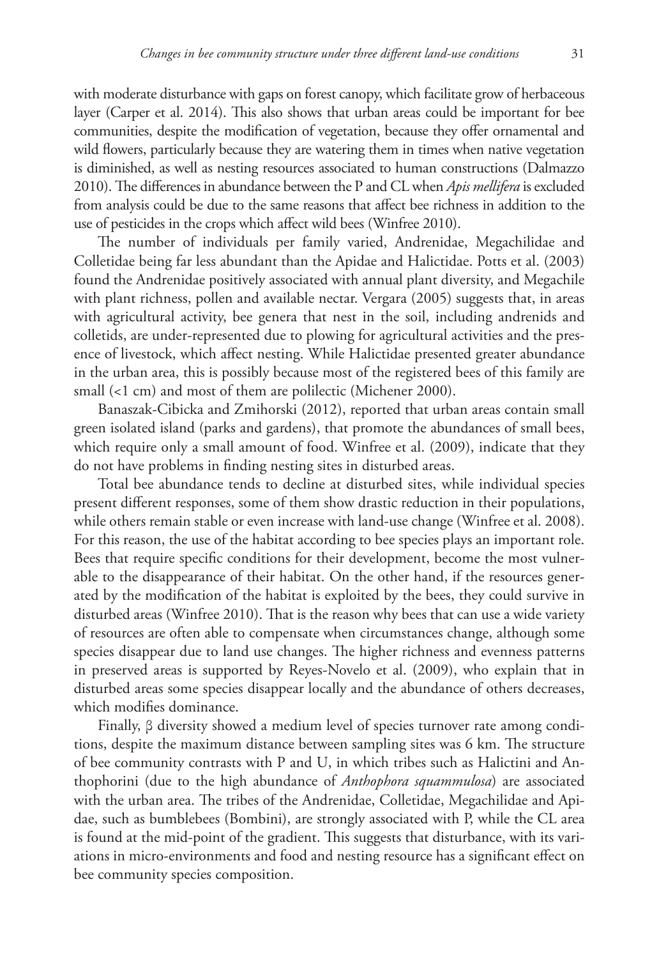with moderate disturbance with gaps on forest canopy, which facilitate grow of herbaceous layer (Carper et al. 2014). This also shows that urban areas could be important for bee communities, despite the modification of vegetation, because they offer ornamental and wild flowers, particularly because they are watering them in times when native vegetation is diminished, as well as nesting resources associated to human constructions (Dalmazzo 2010). The differences in abundance between the P and CL when *Apis mellifera* is excluded from analysis could be due to the same reasons that affect bee richness in addition to the use of pesticides in the crops which affect wild bees (Winfree 2010).

The number of individuals per family varied, Andrenidae, Megachilidae and Colletidae being far less abundant than the Apidae and Halictidae. Potts et al. (2003) found the Andrenidae positively associated with annual plant diversity, and Megachile with plant richness, pollen and available nectar. Vergara (2005) suggests that, in areas with agricultural activity, bee genera that nest in the soil, including andrenids and colletids, are under-represented due to plowing for agricultural activities and the presence of livestock, which affect nesting. While Halictidae presented greater abundance in the urban area, this is possibly because most of the registered bees of this family are small (<1 cm) and most of them are polilectic (Michener 2000).

Banaszak-Cibicka and Zmihorski (2012), reported that urban areas contain small green isolated island (parks and gardens), that promote the abundances of small bees, which require only a small amount of food. Winfree et al. (2009), indicate that they do not have problems in finding nesting sites in disturbed areas.

Total bee abundance tends to decline at disturbed sites, while individual species present different responses, some of them show drastic reduction in their populations, while others remain stable or even increase with land-use change (Winfree et al. 2008). For this reason, the use of the habitat according to bee species plays an important role. Bees that require specific conditions for their development, become the most vulnerable to the disappearance of their habitat. On the other hand, if the resources generated by the modification of the habitat is exploited by the bees, they could survive in disturbed areas (Winfree 2010). That is the reason why bees that can use a wide variety of resources are often able to compensate when circumstances change, although some species disappear due to land use changes. The higher richness and evenness patterns in preserved areas is supported by Reyes-Novelo et al. (2009), who explain that in disturbed areas some species disappear locally and the abundance of others decreases, which modifies dominance.

Finally, β diversity showed a medium level of species turnover rate among conditions, despite the maximum distance between sampling sites was 6 km. The structure of bee community contrasts with P and U, in which tribes such as Halictini and Anthophorini (due to the high abundance of *Anthophora squammulosa*) are associated with the urban area. The tribes of the Andrenidae, Colletidae, Megachilidae and Apidae, such as bumblebees (Bombini), are strongly associated with P, while the CL area is found at the mid-point of the gradient. This suggests that disturbance, with its variations in micro-environments and food and nesting resource has a significant effect on bee community species composition.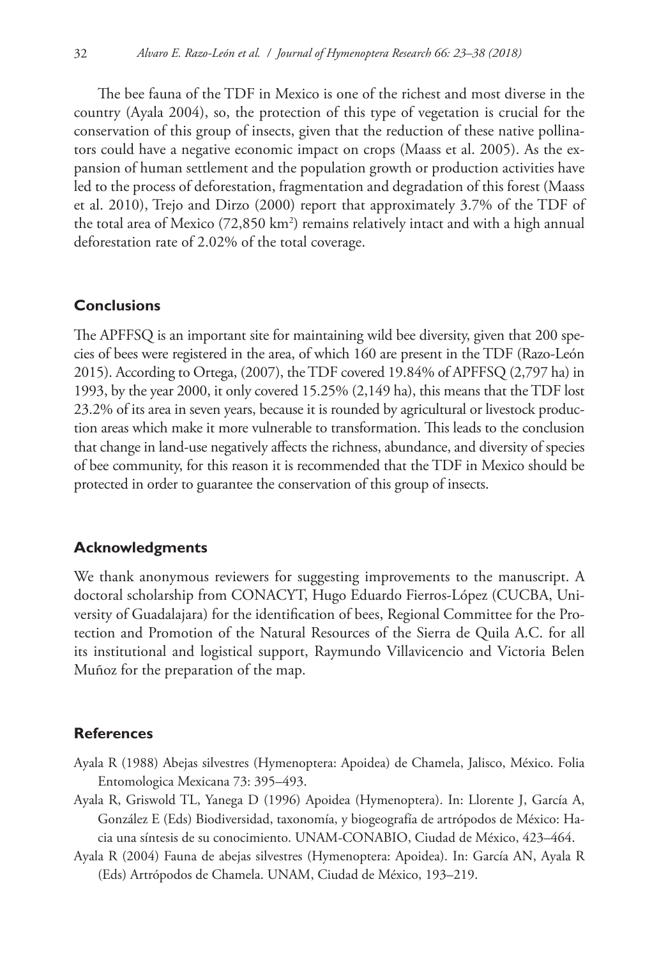The bee fauna of the TDF in Mexico is one of the richest and most diverse in the country (Ayala 2004), so, the protection of this type of vegetation is crucial for the conservation of this group of insects, given that the reduction of these native pollinators could have a negative economic impact on crops (Maass et al. 2005). As the expansion of human settlement and the population growth or production activities have led to the process of deforestation, fragmentation and degradation of this forest (Maass et al. 2010), Trejo and Dirzo (2000) report that approximately 3.7% of the TDF of the total area of Mexico (72,850  $km^2$ ) remains relatively intact and with a high annual deforestation rate of 2.02% of the total coverage.

### **Conclusions**

The APFFSQ is an important site for maintaining wild bee diversity, given that 200 species of bees were registered in the area, of which 160 are present in the TDF (Razo-León 2015). According to Ortega, (2007), the TDF covered 19.84% of APFFSQ (2,797 ha) in 1993, by the year 2000, it only covered 15.25% (2,149 ha), this means that the TDF lost 23.2% of its area in seven years, because it is rounded by agricultural or livestock production areas which make it more vulnerable to transformation. This leads to the conclusion that change in land-use negatively affects the richness, abundance, and diversity of species of bee community, for this reason it is recommended that the TDF in Mexico should be protected in order to guarantee the conservation of this group of insects.

### **Acknowledgments**

We thank anonymous reviewers for suggesting improvements to the manuscript. A doctoral scholarship from CONACYT, Hugo Eduardo Fierros-López (CUCBA, University of Guadalajara) for the identification of bees, Regional Committee for the Protection and Promotion of the Natural Resources of the Sierra de Quila A.C. for all its institutional and logistical support, Raymundo Villavicencio and Victoria Belen Muñoz for the preparation of the map.

### **References**

- Ayala R (1988) Abejas silvestres (Hymenoptera: Apoidea) de Chamela, Jalisco, México. Folia Entomologica Mexicana 73: 395–493.
- Ayala R, Griswold TL, Yanega D (1996) Apoidea (Hymenoptera). In: Llorente J, García A, González E (Eds) Biodiversidad, taxonomía, y biogeografía de artrópodos de México: Hacia una síntesis de su conocimiento. UNAM-CONABIO, Ciudad de México, 423–464.
- Ayala R (2004) Fauna de abejas silvestres (Hymenoptera: Apoidea). In: García AN, Ayala R (Eds) Artrópodos de Chamela. UNAM, Ciudad de México, 193–219.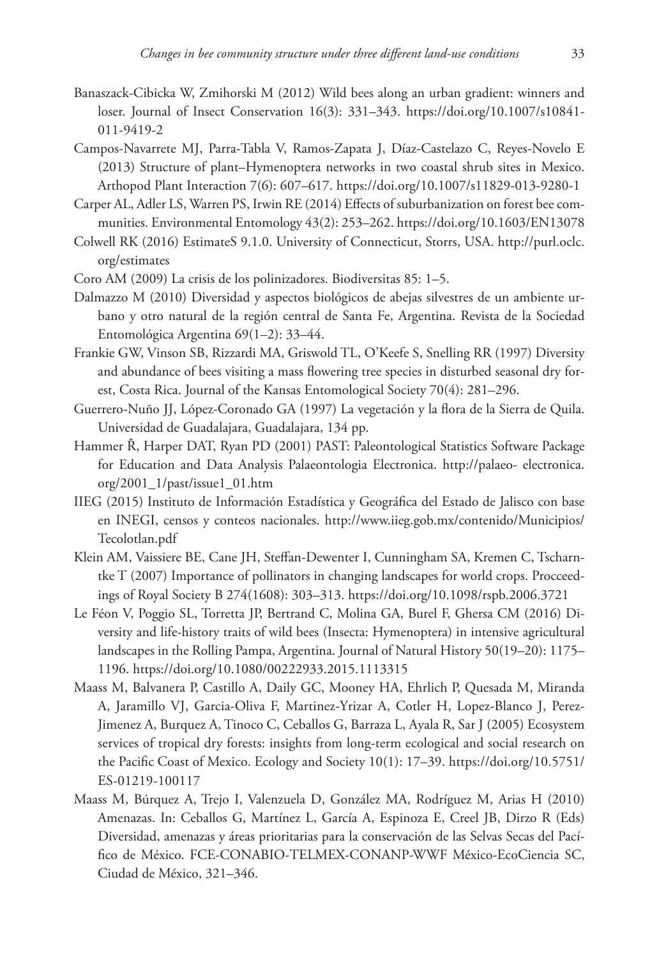- Banaszack-Cibicka W, Zmihorski M (2012) Wild bees along an urban gradient: winners and loser. Journal of Insect Conservation 16(3): 331–343. [https://doi.org/10.1007/s10841-](https://doi.org/10.1007/s10841-011-9419-2) [011-9419-2](https://doi.org/10.1007/s10841-011-9419-2)
- Campos-Navarrete MJ, Parra-Tabla V, Ramos-Zapata J, Díaz-Castelazo C, Reyes-Novelo E (2013) Structure of plant–Hymenoptera networks in two coastal shrub sites in Mexico. Arthopod Plant Interaction 7(6): 607–617. <https://doi.org/10.1007/s11829-013-9280-1>
- Carper AL, Adler LS, Warren PS, Irwin RE (2014) Effects of suburbanization on forest bee communities. Environmental Entomology 43(2): 253–262.<https://doi.org/10.1603/EN13078>
- Colwell RK (2016) EstimateS 9.1.0. University of Connecticut, Storrs, USA. [http://purl.oclc.](http://purl.oclc.org/estimates) [org/estimates](http://purl.oclc.org/estimates)
- Coro AM (2009) La crisis de los polinizadores. Biodiversitas 85: 1–5.
- Dalmazzo M (2010) Diversidad y aspectos biológicos de abejas silvestres de un ambiente urbano y otro natural de la región central de Santa Fe, Argentina. Revista de la Sociedad Entomológica Argentina 69(1–2): 33–44.
- Frankie GW, Vinson SB, Rizzardi MA, Griswold TL, O'Keefe S, Snelling RR (1997) Diversity and abundance of bees visiting a mass flowering tree species in disturbed seasonal dry forest, Costa Rica. Journal of the Kansas Entomological Society 70(4): 281–296.
- Guerrero-Nuño JJ, López-Coronado GA (1997) La vegetación y la flora de la Sierra de Quila. Universidad de Guadalajara, Guadalajara, 134 pp.
- Hammer Ř, Harper DAT, Ryan PD (2001) PAST: Paleontological Statistics Software Package for Education and Data Analysis Palaeontologia Electronica. <http://palaeo-> electronica. org/2001\_1/past/issue1\_01.htm
- IIEG (2015) Instituto de Información Estadística y Geográfica del Estado de Jalisco con base en INEGI, censos y conteos nacionales. [http://www.iieg.gob.mx/contenido/Municipios/](http://www.iieg.gob.mx/contenido/Municipios/Tecolotlan.pdf) [Tecolotlan.pdf](http://www.iieg.gob.mx/contenido/Municipios/Tecolotlan.pdf)
- Klein AM, Vaissiere BE, Cane JH, Steffan-Dewenter I, Cunningham SA, Kremen C, Tscharntke T (2007) Importance of pollinators in changing landscapes for world crops. Procceedings of Royal Society B 274(1608): 303–313.<https://doi.org/10.1098/rspb.2006.3721>
- Le Féon V, Poggio SL, Torretta JP, Bertrand C, Molina GA, Burel F, Ghersa CM (2016) Diversity and life-history traits of wild bees (Insecta: Hymenoptera) in intensive agricultural landscapes in the Rolling Pampa, Argentina. Journal of Natural History 50(19–20): 1175– 1196.<https://doi.org/10.1080/00222933.2015.1113315>
- Maass M, Balvanera P, Castillo A, Daily GC, Mooney HA, Ehrlich P, Quesada M, Miranda A, Jaramillo VJ, Garcia-Oliva F, Martinez-Yrizar A, Cotler H, Lopez-Blanco J, Perez-Jimenez A, Burquez A, Tinoco C, Ceballos G, Barraza L, Ayala R, Sar J (2005) Ecosystem services of tropical dry forests: insights from long-term ecological and social research on the Pacific Coast of Mexico. Ecology and Society 10(1): 17–39. [https://doi.org/10.5751/](https://doi.org/10.5751/ES-01219-100117) [ES-01219-100117](https://doi.org/10.5751/ES-01219-100117)
- Maass M, Búrquez A, Trejo I, Valenzuela D, González MA, Rodríguez M, Arias H (2010) Amenazas. In: Ceballos G, Martínez L, García A, Espinoza E, Creel JB, Dirzo R (Eds) Diversidad, amenazas y áreas prioritarias para la conservación de las Selvas Secas del Pacífico de México. FCE-CONABIO-TELMEX-CONANP-WWF México-EcoCiencia SC, Ciudad de México, 321–346.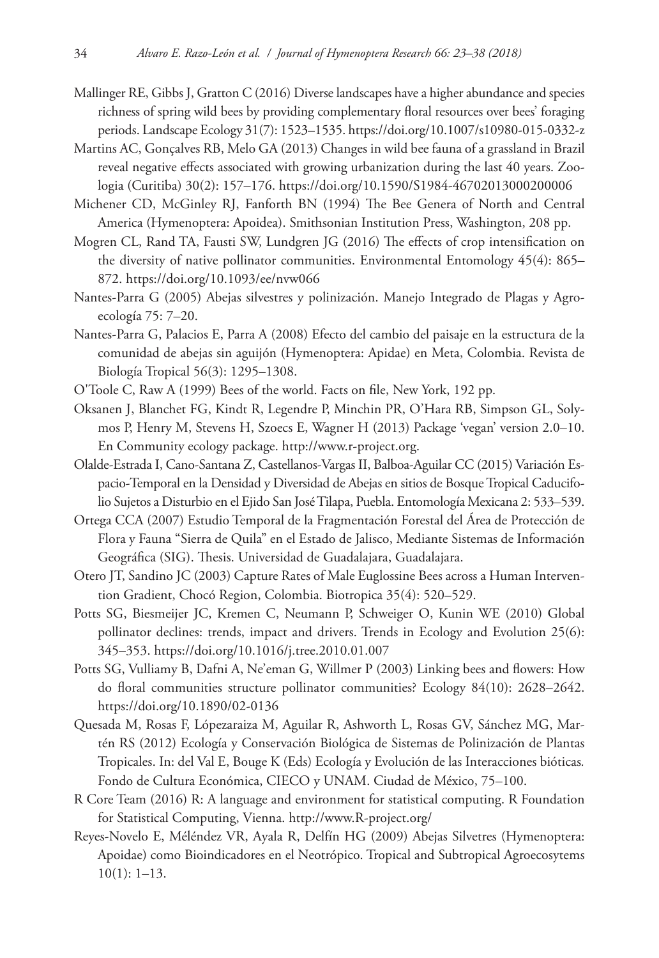- Mallinger RE, Gibbs J, Gratton C (2016) Diverse landscapes have a higher abundance and species richness of spring wild bees by providing complementary floral resources over bees' foraging periods. Landscape Ecology 31(7): 1523–1535.<https://doi.org/10.1007/s10980-015-0332-z>
- Martins AC, Gonçalves RB, Melo GA (2013) Changes in wild bee fauna of a grassland in Brazil reveal negative effects associated with growing urbanization during the last 40 years. Zoologia (Curitiba) 30(2): 157–176.<https://doi.org/10.1590/S1984-46702013000200006>
- Michener CD, McGinley RJ, Fanforth BN (1994) The Bee Genera of North and Central America (Hymenoptera: Apoidea). Smithsonian Institution Press, Washington, 208 pp.
- Mogren CL, Rand TA, Fausti SW, Lundgren JG (2016) The effects of crop intensification on the diversity of native pollinator communities. Environmental Entomology 45(4): 865– 872.<https://doi.org/10.1093/ee/nvw066>
- Nantes-Parra G (2005) Abejas silvestres y polinización. Manejo Integrado de Plagas y Agroecología 75: 7–20.
- Nantes-Parra G, Palacios E, Parra A (2008) Efecto del cambio del paisaje en la estructura de la comunidad de abejas sin aguijón (Hymenoptera: Apidae) en Meta, Colombia. Revista de Biología Tropical 56(3): 1295–1308.
- O'Toole C, Raw A (1999) Bees of the world. Facts on file, New York, 192 pp.
- Oksanen J, Blanchet FG, Kindt R, Legendre P, Minchin PR, O'Hara RB, Simpson GL, Solymos P, Henry M, Stevens H, Szoecs E, Wagner H (2013) Package 'vegan' version 2.0–10. En Community ecology package. [http://www.r-project.org.](http://www.r-project.org)
- Olalde-Estrada I, Cano-Santana Z, Castellanos-Vargas II, Balboa-Aguilar CC (2015) Variación Espacio-Temporal en la Densidad y Diversidad de Abejas en sitios de Bosque Tropical Caducifolio Sujetos a Disturbio en el Ejido San José Tilapa, Puebla. Entomología Mexicana 2: 533–539.
- Ortega CCA (2007) Estudio Temporal de la Fragmentación Forestal del Área de Protección de Flora y Fauna "Sierra de Quila" en el Estado de Jalisco, Mediante Sistemas de Información Geográfica (SIG). Thesis. Universidad de Guadalajara, Guadalajara.
- Otero JT, Sandino JC (2003) Capture Rates of Male Euglossine Bees across a Human Intervention Gradient, Chocó Region, Colombia. Biotropica 35(4): 520–529.
- Potts SG, Biesmeijer JC, Kremen C, Neumann P, Schweiger O, Kunin WE (2010) Global pollinator declines: trends, impact and drivers. Trends in Ecology and Evolution 25(6): 345–353.<https://doi.org/10.1016/j.tree.2010.01.007>
- Potts SG, Vulliamy B, Dafni A, Ne'eman G, Willmer P (2003) Linking bees and flowers: How do floral communities structure pollinator communities? Ecology 84(10): 2628–2642. <https://doi.org/10.1890/02-0136>
- Quesada M, Rosas F, Lópezaraiza M, Aguilar R, Ashworth L, Rosas GV, Sánchez MG, Martén RS (2012) Ecología y Conservación Biológica de Sistemas de Polinización de Plantas Tropicales. In: del Val E, Bouge K (Eds) Ecología y Evolución de las Interacciones bióticas*.*  Fondo de Cultura Económica, CIECO y UNAM. Ciudad de México, 75–100.
- R Core Team (2016) R: A language and environment for statistical computing. R Foundation for Statistical Computing, Vienna.<http://www.R-project.org/>
- Reyes-Novelo E, Méléndez VR, Ayala R, Delfín HG (2009) Abejas Silvetres (Hymenoptera: Apoidae) como Bioindicadores en el Neotrópico. Tropical and Subtropical Agroecosytems 10(1): 1–13.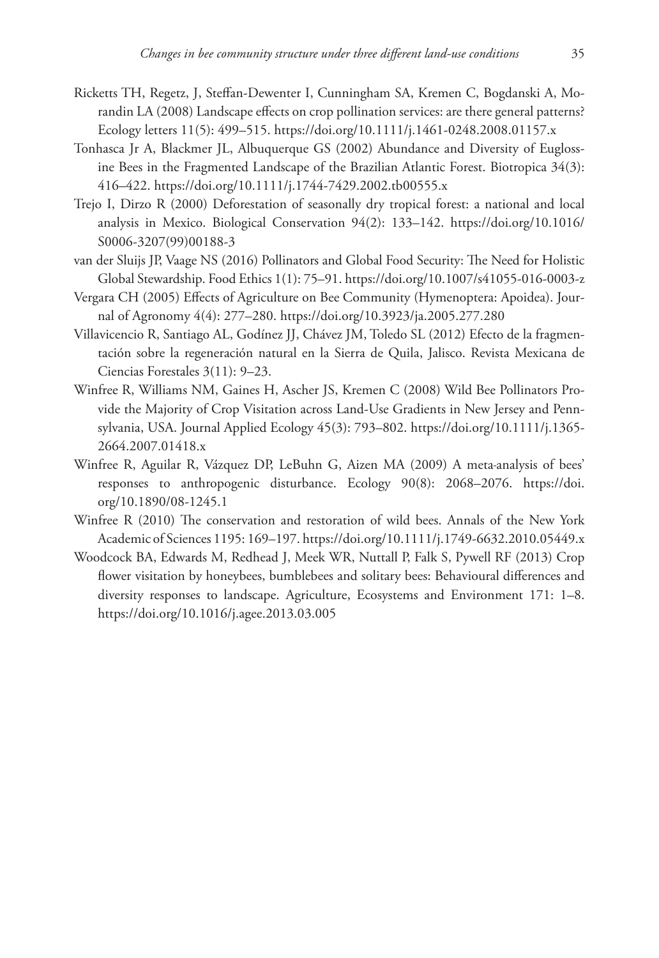- Ricketts TH, Regetz, J, Steffan-Dewenter I, Cunningham SA, Kremen C, Bogdanski A, Morandin LA (2008) Landscape effects on crop pollination services: are there general patterns? Ecology letters 11(5): 499–515. <https://doi.org/10.1111/j.1461-0248.2008.01157.x>
- Tonhasca Jr A, Blackmer JL, Albuquerque GS (2002) Abundance and Diversity of Euglossine Bees in the Fragmented Landscape of the Brazilian Atlantic Forest. Biotropica 34(3): 416–422.<https://doi.org/10.1111/j.1744-7429.2002.tb00555.x>
- Trejo I, Dirzo R (2000) Deforestation of seasonally dry tropical forest: a national and local analysis in Mexico. Biological Conservation 94(2): 133–142. [https://doi.org/10.1016/](https://doi.org/10.1016/S0006-3207(99)00188-3) [S0006-3207\(99\)00188-3](https://doi.org/10.1016/S0006-3207(99)00188-3)
- van der Sluijs JP, Vaage NS (2016) Pollinators and Global Food Security: The Need for Holistic Global Stewardship. Food Ethics 1(1): 75–91.<https://doi.org/10.1007/s41055-016-0003-z>
- Vergara CH (2005) Effects of Agriculture on Bee Community (Hymenoptera: Apoidea). Journal of Agronomy 4(4): 277–280.<https://doi.org/10.3923/ja.2005.277.280>
- Villavicencio R, Santiago AL, Godínez JJ, Chávez JM, Toledo SL (2012) Efecto de la fragmentación sobre la regeneración natural en la Sierra de Quila, Jalisco. Revista Mexicana de Ciencias Forestales 3(11): 9–23.
- Winfree R, Williams NM, Gaines H, Ascher JS, Kremen C (2008) Wild Bee Pollinators Provide the Majority of Crop Visitation across Land-Use Gradients in New Jersey and Pennsylvania, USA. Journal Applied Ecology 45(3): 793–802. [https://doi.org/10.1111/j.1365-](https://doi.org/10.1111/j.1365-2664.2007.01418.x) [2664.2007.01418.x](https://doi.org/10.1111/j.1365-2664.2007.01418.x)
- Winfree R, Aguilar R, Vázquez DP, LeBuhn G, Aizen MA (2009) A meta-analysis of bees' responses to anthropogenic disturbance. Ecology 90(8): 2068–2076. [https://doi.](https://doi.org/10.1890/08-1245.1) [org/10.1890/08-1245.1](https://doi.org/10.1890/08-1245.1)
- Winfree R (2010) The conservation and restoration of wild bees. Annals of the New York Academic of Sciences 1195: 169–197.<https://doi.org/10.1111/j.1749-6632.2010.05449.x>
- Woodcock BA, Edwards M, Redhead J, Meek WR, Nuttall P, Falk S, Pywell RF (2013) Crop flower visitation by honeybees, bumblebees and solitary bees: Behavioural differences and diversity responses to landscape. Agriculture, Ecosystems and Environment 171: 1–8. <https://doi.org/10.1016/j.agee.2013.03.005>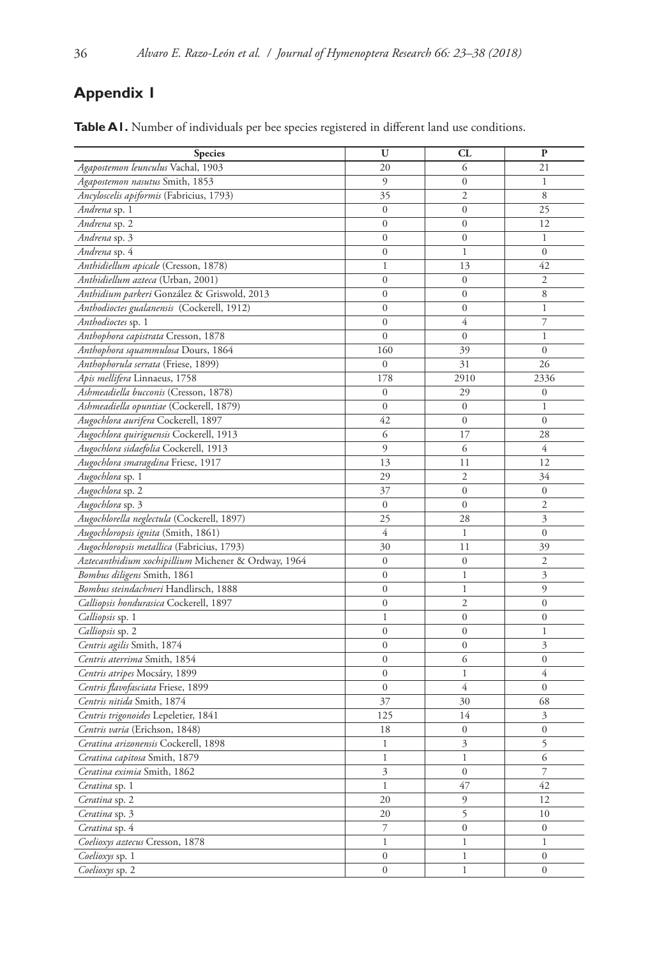## **Appendix 1**

| Table A1. Number of individuals per bee species registered in different land use conditions. |  |
|----------------------------------------------------------------------------------------------|--|
|----------------------------------------------------------------------------------------------|--|

| Species                                             | U                | CL               | $\mathbf{P}$     |
|-----------------------------------------------------|------------------|------------------|------------------|
| Agapostemon leunculus Vachal, 1903                  | 20               | 6                | 21               |
| Agapostemon nasutus Smith, 1853                     | 9                | $\mathbf{0}$     | $\mathbf{1}$     |
| Ancyloscelis apiformis (Fabricius, 1793)            | 35               | $\overline{2}$   | 8                |
| Andrena sp. 1                                       | $\overline{0}$   | $\boldsymbol{0}$ | 25               |
| Andrena sp. 2                                       | $\overline{0}$   | $\overline{0}$   | 12               |
| Andrena sp. 3                                       | $\overline{0}$   | $\boldsymbol{0}$ | $\mathbf{1}$     |
| Andrena sp. 4                                       | $\mathbf{0}$     | $\,1$            | $\mathbf{0}$     |
| Anthidiellum apicale (Cresson, 1878)                | $\mathbf{1}$     | 13               | 42               |
| Anthidiellum azteca (Urban, 2001)                   | $\overline{0}$   | $\mathbf{0}$     | $\overline{2}$   |
| Anthidium parkeri González & Griswold, 2013         | $\mathbf{0}$     | $\boldsymbol{0}$ | 8                |
| Anthodioctes gualanensis (Cockerell, 1912)          | $\mathbf{0}$     | $\boldsymbol{0}$ | $\,1$            |
| Anthodioctes sp. 1                                  | $\overline{0}$   | 4                | 7                |
| Anthophora capistrata Cresson, 1878                 | $\overline{0}$   | $\overline{0}$   | $\,1$            |
| Anthophora squammulosa Dours, 1864                  | 160              | 39               | $\boldsymbol{0}$ |
| Anthophorula serrata (Friese, 1899)                 | $\mathbf{0}$     | 31               | 26               |
| Apis mellifera Linnaeus, 1758                       | 178              | 2910             | 2336             |
| Ashmeadiella bucconis (Cresson, 1878)               | $\mathbf{0}$     | 29               | $\boldsymbol{0}$ |
| Ashmeadiella opuntiae (Cockerell, 1879)             | $\boldsymbol{0}$ | $\boldsymbol{0}$ | $\mathbf{1}$     |
| Augochlora aurifera Cockerell, 1897                 | 42               | $\mathbf{0}$     | $\overline{0}$   |
| Augochlora quiriguensis Cockerell, 1913             | 6                | 17               | 28               |
| Augochlora sidaefolia Cockerell, 1913               | 9                | 6                | 4                |
| Augochlora smaragdina Friese, 1917                  | 13               | 11               | 12               |
| Augochlora sp. 1                                    | 29               | $\overline{2}$   | 34               |
| Augochlora sp. 2                                    | 37               | $\mathbf{0}$     | $\mathbf{0}$     |
| Augochlora sp. 3                                    | $\mathbf{0}$     | $\mathbf{0}$     | $\overline{2}$   |
| Augochlorella neglectula (Cockerell, 1897)          | 25               | 28               | 3                |
| Augochloropsis ignita (Smith, 1861)                 | 4                | $\mathbf{1}$     | $\overline{0}$   |
| Augochloropsis metallica (Fabricius, 1793)          | 30               | 11               | 39               |
| Aztecanthidium xochipillium Michener & Ordway, 1964 | $\boldsymbol{0}$ | $\boldsymbol{0}$ | 2                |
| <i>Bombus diligens</i> Smith, 1861                  | $\theta$         | 1                | 3                |
| Bombus steindachneri Handlirsch, 1888               | $\overline{0}$   | $\mathbf{1}$     | 9                |
| Calliopsis hondurasica Cockerell, 1897              | $\mathbf{0}$     | $\overline{c}$   | $\mathbf{0}$     |
| Calliopsis sp. 1                                    | $\mathbf{1}$     | $\mathbf{0}$     | $\boldsymbol{0}$ |
| <i>Calliopsis</i> sp. 2                             | $\overline{0}$   | $\overline{0}$   | $\mathbf{1}$     |
| Centris agilis Smith, 1874                          | $\mathbf{0}$     | $\mathbf{0}$     | 3                |
| Centris aterrima Smith, 1854                        | $\boldsymbol{0}$ | 6                | $\boldsymbol{0}$ |
| Centris atripes Mocsáry, 1899                       | $\overline{0}$   | $\mathbf{1}$     | 4                |
| Centris flavofasciata Friese, 1899                  | $\overline{0}$   | 4                | $\overline{0}$   |
| Centris nitida Smith, 1874                          | 37               | 30               | 68               |
| Centris trigonoides Lepeletier, 1841                | 125              | 14               | 3                |
| <i>Centris varia</i> (Erichson, 1848)               | 18               | $\boldsymbol{0}$ | $\mathbf{0}$     |
| Ceratina arizonensis Cockerell, 1898                | $\mathbf{1}$     | 3                | 5                |
| Ceratina capitosa Smith, 1879                       | $\mathbf{1}$     | $\mathbf{1}$     | 6                |
| Ceratina eximia Smith, 1862                         | 3                | $\mathbf{0}$     | $\overline{7}$   |
| Ceratina sp. 1                                      | $\mathbf{1}$     | 47               | 42               |
| Ceratina sp. 2                                      | 20               | 9                | 12               |
| Ceratina sp. 3                                      | 20               | 5                | 10               |
| Ceratina sp. 4                                      | 7                | $\mathbf{0}$     | $\mathbf{0}$     |
| Coelioxys aztecus Cresson, 1878                     | $\mathbf{1}$     | 1                | $\,1$            |
| Coelioxys sp. 1                                     | $\overline{0}$   | $\mathbf{1}$     | $\mathbf{0}$     |
| Coelioxys sp. 2                                     | $\overline{0}$   | $\mathbf{1}$     | $\overline{0}$   |
|                                                     |                  |                  |                  |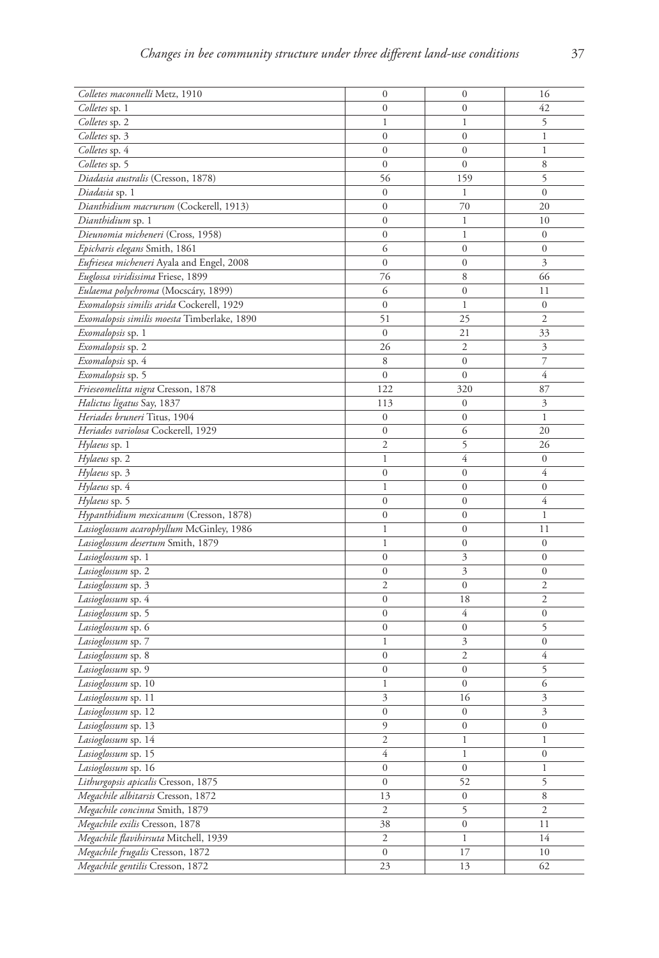| Colletes maconnelli Metz, 1910              | $\boldsymbol{0}$                   | $\boldsymbol{0}$                 | 16               |
|---------------------------------------------|------------------------------------|----------------------------------|------------------|
| Colletes sp. 1                              | $\overline{0}$                     | $\mathbf{0}$                     | 42               |
| Colletes sp. 2                              | 1                                  | 1                                | 5                |
| Colletes sp. 3                              | $\mathbf{0}$                       | $\boldsymbol{0}$                 | $\mathbf{1}$     |
| Colletes sp. 4                              | $\overline{0}$                     | $\mathbf{0}$                     | 1                |
| Colletes sp. 5                              | $\mathbf{0}$                       | $\mathbf{0}$                     | 8                |
| Diadasia australis (Cresson, 1878)          | 56                                 | 159                              | 5                |
| Diadasia sp. 1                              | $\mathbf{0}$                       | $\mathbf{1}$                     | $\boldsymbol{0}$ |
| Dianthidium macrurum (Cockerell, 1913)      | $\mathbf{0}$                       | 70                               | 20               |
| Dianthidium sp. 1                           | $\mathbf{0}$                       | 1                                | 10               |
| Dieunomia micheneri (Cross, 1958)           | $\mathbf{0}$                       | $\mathbf{1}$                     | $\boldsymbol{0}$ |
| Epicharis elegans Smith, 1861               | 6                                  | $\boldsymbol{0}$                 | $\boldsymbol{0}$ |
| Eufriesea micheneri Ayala and Engel, 2008   | $\boldsymbol{0}$                   | $\boldsymbol{0}$                 | 3                |
| Euglossa viridissima Friese, 1899           | 76                                 | 8                                | 66               |
| Eulaema polychroma (Mocscáry, 1899)         | 6                                  | $\boldsymbol{0}$                 | 11               |
| Exomalopsis similis arida Cockerell, 1929   | $\boldsymbol{0}$                   | $\mathbf{1}$                     | $\boldsymbol{0}$ |
|                                             | 51                                 | 25                               | 2                |
| Exomalopsis similis moesta Timberlake, 1890 | $\boldsymbol{0}$                   | 21                               |                  |
| Exomalopsis sp. 1                           | 26                                 | $\mathfrak{2}$                   | 33<br>3          |
| <i>Exomalopsis</i> sp. 2                    |                                    |                                  | 7                |
| Exomalopsis sp. 4                           | 8<br>$\overline{0}$                | $\boldsymbol{0}$<br>$\mathbf{0}$ | 4                |
| <i>Exomalopsis</i> sp. 5                    |                                    |                                  |                  |
| Frieseomelitta nigra Cresson, 1878          | 122                                | 320                              | 87               |
| <i>Halictus ligatus</i> Say, 1837           | 113                                | $\boldsymbol{0}$                 | 3                |
| Heriades bruneri Titus, 1904                | $\mathbf{0}$                       | $\boldsymbol{0}$                 | $\mathbf{1}$     |
| Heriades variolosa Cockerell, 1929          | $\boldsymbol{0}$<br>$\overline{2}$ | 6                                | 20               |
| Hylaeus sp. 1                               |                                    | 5                                | 26               |
| Hylaeus sp. 2                               | 1                                  | 4                                | $\boldsymbol{0}$ |
| Hylaeus sp. 3                               | $\boldsymbol{0}$                   | $\boldsymbol{0}$                 | 4                |
| Hylaeus sp. 4                               | $\mathbf 1$                        | $\mathbf{0}$                     | $\boldsymbol{0}$ |
| Hylaeus sp. 5                               | $\bf{0}$                           | $\boldsymbol{0}$                 | 4                |
| Hypanthidium mexicanum (Cresson, 1878)      | $\boldsymbol{0}$                   | $\boldsymbol{0}$                 | 1                |
| Lasioglossum acarophyllum McGinley, 1986    | $\mathbf 1$                        | $\mathbf{0}$                     | 11               |
| Lasioglossum desertum Smith, 1879           | 1                                  | $\mathbf{0}$                     | $\boldsymbol{0}$ |
| Lasioglossum sp. 1                          | $\boldsymbol{0}$                   | 3                                | $\boldsymbol{0}$ |
| Lasioglossum sp. 2                          | $\boldsymbol{0}$                   | 3                                | $\boldsymbol{0}$ |
| Lasioglossum sp. 3                          | $\overline{c}$                     | $\mathbf{0}$                     | 2                |
| Lasioglossum sp. 4                          | $\mathbf{0}$                       | 18                               | $\overline{c}$   |
| Lasioglossum sp. 5                          | $\mathbf{0}$                       | 4                                | $\boldsymbol{0}$ |
| Lasioglossum sp. 6                          | $\overline{0}$                     | $\boldsymbol{0}$                 | 5                |
| Lasioglossum sp. 7                          | 1                                  | 3                                | $\boldsymbol{0}$ |
| Lasioglossum sp. 8                          | $\mathbf{0}$                       | $\overline{2}$                   | 4                |
| Lasioglossum sp. 9                          | $\mathbf{0}$                       | $\boldsymbol{0}$                 | 5                |
| Lasioglossum sp. 10                         | 1                                  | $\boldsymbol{0}$                 | 6                |
| Lasioglossum sp. 11                         | 3                                  | 16                               | 3                |
| Lasioglossum sp. 12                         | $\overline{0}$                     | $\mathbf{0}$                     | 3                |
| Lasioglossum sp. 13                         | 9                                  | $\boldsymbol{0}$                 | $\boldsymbol{0}$ |
| Lasioglossum sp. 14                         | $\overline{c}$                     | $\mathbf{1}$                     | $\mathbf{1}$     |
| Lasioglossum sp. 15                         | 4                                  | $\mathbf{1}$                     | $\boldsymbol{0}$ |
| Lasioglossum sp. 16                         | $\boldsymbol{0}$                   | $\boldsymbol{0}$                 | $\mathbf 1$      |
| Lithurgopsis apicalis Cresson, 1875         | $\boldsymbol{0}$                   | 52                               | 5                |
| Megachile albitarsis Cresson, 1872          | 13                                 | $\boldsymbol{0}$                 | 8                |
| Megachile concinna Smith, 1879              | $\overline{c}$                     | 5                                | $\sqrt{2}$       |
| Megachile exilis Cresson, 1878              | 38                                 | $\boldsymbol{0}$                 | 11               |
| Megachile flavihirsuta Mitchell, 1939       | 2                                  | $\mathbf{1}$                     | 14               |
| Megachile frugalis Cresson, 1872            | $\boldsymbol{0}$                   | 17                               | 10               |
| Megachile gentilis Cresson, 1872            | 23                                 | 13                               | 62               |